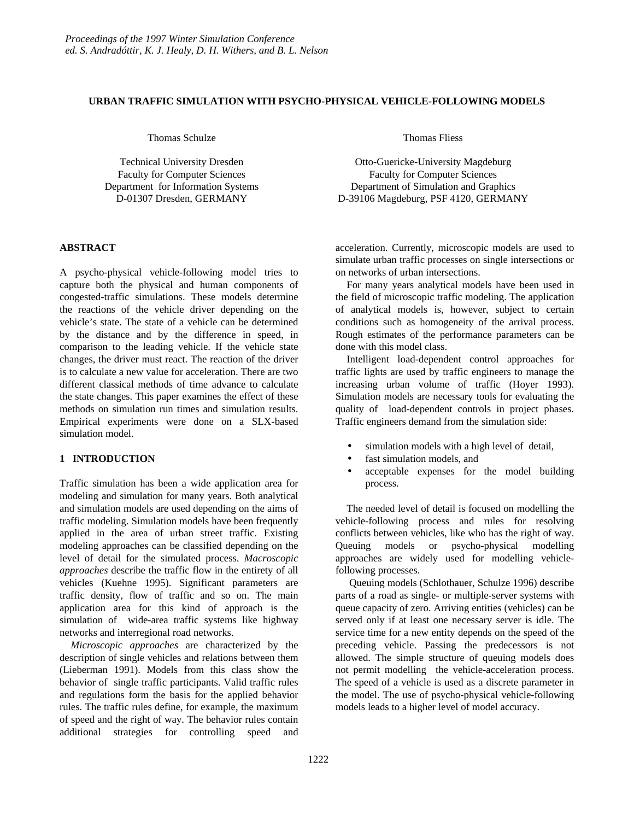## **URBAN TRAFFIC SIMULATION WITH PSYCHO-PHYSICAL VEHICLE-FOLLOWING MODELS**

Thomas Schulze

Technical University Dresden Faculty for Computer Sciences Department for Information Systems D-01307 Dresden, GERMANY

## **ABSTRACT**

A psycho-physical vehicle-following model tries to capture both the physical and human components of congested-traffic simulations. These models determine the reactions of the vehicle driver depending on the vehicle's state. The state of a vehicle can be determined by the distance and by the difference in speed, in comparison to the leading vehicle. If the vehicle state changes, the driver must react. The reaction of the driver is to calculate a new value for acceleration. There are two different classical methods of time advance to calculate the state changes. This paper examines the effect of these methods on simulation run times and simulation results. Empirical experiments were done on a SLX-based simulation model.

# **1 INTRODUCTION**

Traffic simulation has been a wide application area for modeling and simulation for many years. Both analytical and simulation models are used depending on the aims of traffic modeling. Simulation models have been frequently applied in the area of urban street traffic. Existing modeling approaches can be classified depending on the level of detail for the simulated process. *Macroscopic approaches* describe the traffic flow in the entirety of all vehicles (Kuehne 1995). Significant parameters are traffic density, flow of traffic and so on. The main application area for this kind of approach is the simulation of wide-area traffic systems like highway networks and interregional road networks.

*Microscopic approaches* are characterized by the description of single vehicles and relations between them (Lieberman 1991). Models from this class show the behavior of single traffic participants. Valid traffic rules and regulations form the basis for the applied behavior rules. The traffic rules define, for example, the maximum of speed and the right of way. The behavior rules contain additional strategies for controlling speed and Thomas Fliess

Otto-Guericke-University Magdeburg Faculty for Computer Sciences Department of Simulation and Graphics D-39106 Magdeburg, PSF 4120, GERMANY

acceleration. Currently, microscopic models are used to simulate urban traffic processes on single intersections or on networks of urban intersections.

For many years analytical models have been used in the field of microscopic traffic modeling. The application of analytical models is, however, subject to certain conditions such as homogeneity of the arrival process. Rough estimates of the performance parameters can be done with this model class.

Intelligent load-dependent control approaches for traffic lights are used by traffic engineers to manage the increasing urban volume of traffic (Hoyer 1993). Simulation models are necessary tools for evaluating the quality of load-dependent controls in project phases. Traffic engineers demand from the simulation side:

- simulation models with a high level of detail,
- fast simulation models, and
- acceptable expenses for the model building process.

The needed level of detail is focused on modelling the vehicle-following process and rules for resolving conflicts between vehicles, like who has the right of way. Queuing models or psycho-physical modelling approaches are widely used for modelling vehiclefollowing processes.

 Queuing models (Schlothauer, Schulze 1996) describe parts of a road as single- or multiple-server systems with queue capacity of zero. Arriving entities (vehicles) can be served only if at least one necessary server is idle. The service time for a new entity depends on the speed of the preceding vehicle. Passing the predecessors is not allowed. The simple structure of queuing models does not permit modelling the vehicle-acceleration process. The speed of a vehicle is used as a discrete parameter in the model. The use of psycho-physical vehicle-following models leads to a higher level of model accuracy.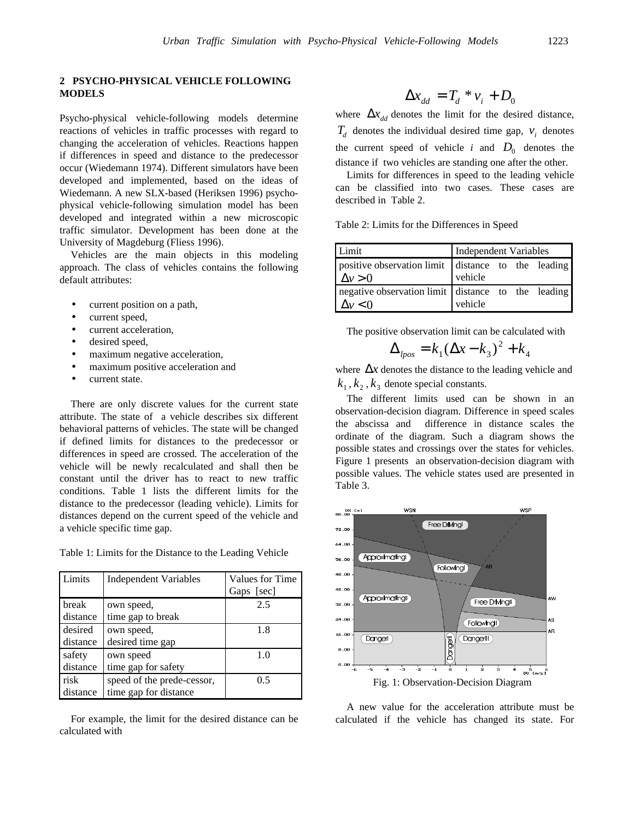## **2 PSYCHO-PHYSICAL VEHICLE FOLLOWING MODELS**

Psycho-physical vehicle-following models determine reactions of vehicles in traffic processes with regard to changing the acceleration of vehicles. Reactions happen if differences in speed and distance to the predecessor occur (Wiedemann 1974). Different simulators have been developed and implemented, based on the ideas of Wiedemann. A new SLX-based (Heriksen 1996) psychophysical vehicle-following simulation model has been developed and integrated within a new microscopic traffic simulator. Development has been done at the University of Magdeburg (Fliess 1996).

Vehicles are the main objects in this modeling approach. The class of vehicles contains the following default attributes:

- current position on a path,
- current speed,
- current acceleration,
- desired speed,
- maximum negative acceleration,
- maximum positive acceleration and
- current state.

There are only discrete values for the current state attribute. The state of a vehicle describes six different behavioral patterns of vehicles. The state will be changed if defined limits for distances to the predecessor or differences in speed are crossed. The acceleration of the vehicle will be newly recalculated and shall then be constant until the driver has to react to new traffic conditions. Table 1 lists the different limits for the distance to the predecessor (leading vehicle). Limits for distances depend on the current speed of the vehicle and a vehicle specific time gap.

Table 1: Limits for the Distance to the Leading Vehicle

| Limits   | <b>Independent Variables</b> | <b>Values for Time</b> |
|----------|------------------------------|------------------------|
|          |                              | Gaps [sec]             |
| break    | own speed,                   | 2.5                    |
| distance | time gap to break            |                        |
| desired  | own speed,                   | 1.8                    |
| distance | desired time gap             |                        |
| safety   | own speed                    | 1.0                    |
| distance | time gap for safety          |                        |
| risk     | speed of the prede-cessor,   | 0.5                    |
| distance | time gap for distance        |                        |

For example, the limit for the desired distance can be calculated with

$$
\Delta x_{dd} = T_d * v_i + D_0
$$

where  $\Delta x_{dd}$  denotes the limit for the desired distance,  $T_d$  denotes the individual desired time gap,  $v_i$  denotes the current speed of vehicle *i* and  $D_0$  denotes the distance if two vehicles are standing one after the other.

Limits for differences in speed to the leading vehicle can be classified into two cases. These cases are described in Table 2.

Table 2: Limits for the Differences in Speed

| Limit                                                                | Independent Variables |  |  |
|----------------------------------------------------------------------|-----------------------|--|--|
| positive observation limit distance to the leading<br>$\Delta v > 0$ | vehicle               |  |  |
| negative observation limit distance to the leading<br>$\Delta v < 0$ | vehicle               |  |  |

The positive observation limit can be calculated with

$$
\Delta_{\text{pos}} = k_1 (\Delta x - k_3)^2 + k_4
$$

where  $\Delta x$  denotes the distance to the leading vehicle and  $k_1, k_2, k_3$  denote special constants.

The different limits used can be shown in an observation-decision diagram. Difference in speed scales the abscissa and difference in distance scales the ordinate of the diagram. Such a diagram shows the possible states and crossings over the states for vehicles. Figure 1 presents an observation-decision diagram with possible values. The vehicle states used are presented in Table 3.



A new value for the acceleration attribute must be calculated if the vehicle has changed its state. For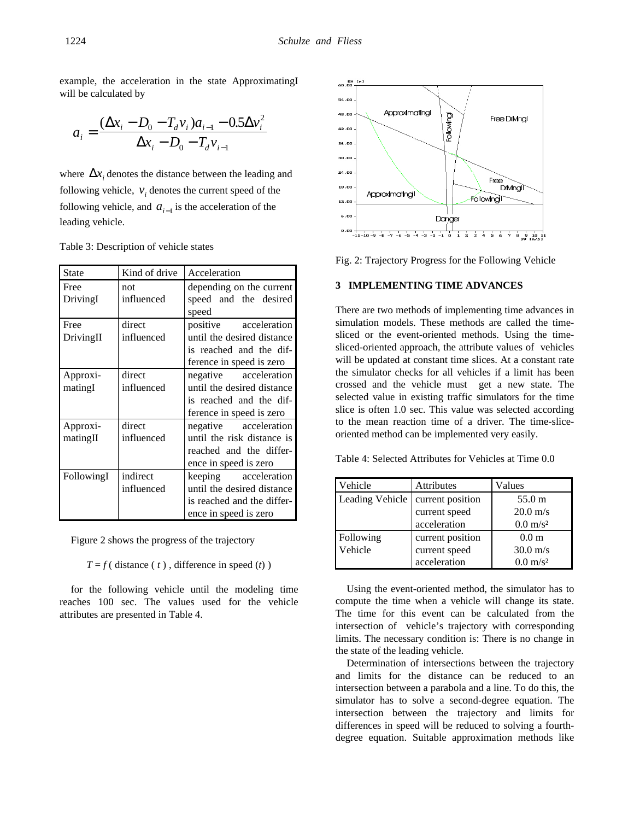example, the acceleration in the state ApproximatingI will be calculated by

$$
a_i = \frac{(\Delta x_i - D_0 - T_d v_i)a_{i-1} - 0.5\Delta v_i^2}{\Delta x_i - D_0 - T_d v_{i-1}}
$$

where  $\Delta x$  denotes the distance between the leading and following vehicle,  $v_i$  denotes the current speed of the following vehicle, and  $a_{i-1}$  is the acceleration of the leading vehicle.

| Table 3: Description of vehicle states |  |
|----------------------------------------|--|
|----------------------------------------|--|

| <b>State</b>         | Kind of drive          | Acceleration                                                                                                  |  |
|----------------------|------------------------|---------------------------------------------------------------------------------------------------------------|--|
| Free<br>DrivingI     | not<br>influenced      | depending on the current<br>speed and the desired<br>speed                                                    |  |
| Free<br>DrivingII    | direct<br>influenced   | positive<br>acceleration<br>until the desired distance<br>is reached and the dif-<br>ference in speed is zero |  |
| Approxi-<br>matingI  | direct<br>influenced   | negative acceleration<br>until the desired distance<br>is reached and the dif-<br>ference in speed is zero    |  |
| Approxi-<br>matingII | direct<br>influenced   | negative acceleration<br>until the risk distance is<br>reached and the differ-<br>ence in speed is zero       |  |
| FollowingI           | indirect<br>influenced | keeping acceleration<br>until the desired distance<br>is reached and the differ-<br>ence in speed is zero     |  |

Figure 2 shows the progress of the trajectory

 $T = f$  ( distance (*t*), difference in speed (*t*))

for the following vehicle until the modeling time reaches 100 sec. The values used for the vehicle attributes are presented in Table 4.



Fig. 2: Trajectory Progress for the Following Vehicle

# **3 IMPLEMENTING TIME ADVANCES**

There are two methods of implementing time advances in simulation models. These methods are called the timesliced or the event-oriented methods. Using the timesliced-oriented approach, the attribute values of vehicles will be updated at constant time slices. At a constant rate the simulator checks for all vehicles if a limit has been crossed and the vehicle must get a new state. The selected value in existing traffic simulators for the time slice is often 1.0 sec. This value was selected according to the mean reaction time of a driver. The time-sliceoriented method can be implemented very easily.

Table 4: Selected Attributes for Vehicles at Time 0.0

| Vehicle         | <b>Attributes</b> | Values              |
|-----------------|-------------------|---------------------|
| Leading Vehicle | current position  | 55.0 m              |
|                 | current speed     | $20.0 \text{ m/s}$  |
|                 | acceleration      | $0.0 \text{ m/s}^2$ |
| Following       | current position  | 0.0 <sub>m</sub>    |
| Vehicle         | current speed     | $30.0 \text{ m/s}$  |
|                 | acceleration      | $0.0 \text{ m/s}^2$ |

Using the event-oriented method, the simulator has to compute the time when a vehicle will change its state. The time for this event can be calculated from the intersection of vehicle's trajectory with corresponding limits. The necessary condition is: There is no change in the state of the leading vehicle.

Determination of intersections between the trajectory and limits for the distance can be reduced to an intersection between a parabola and a line. To do this, the simulator has to solve a second-degree equation. The intersection between the trajectory and limits for differences in speed will be reduced to solving a fourthdegree equation. Suitable approximation methods like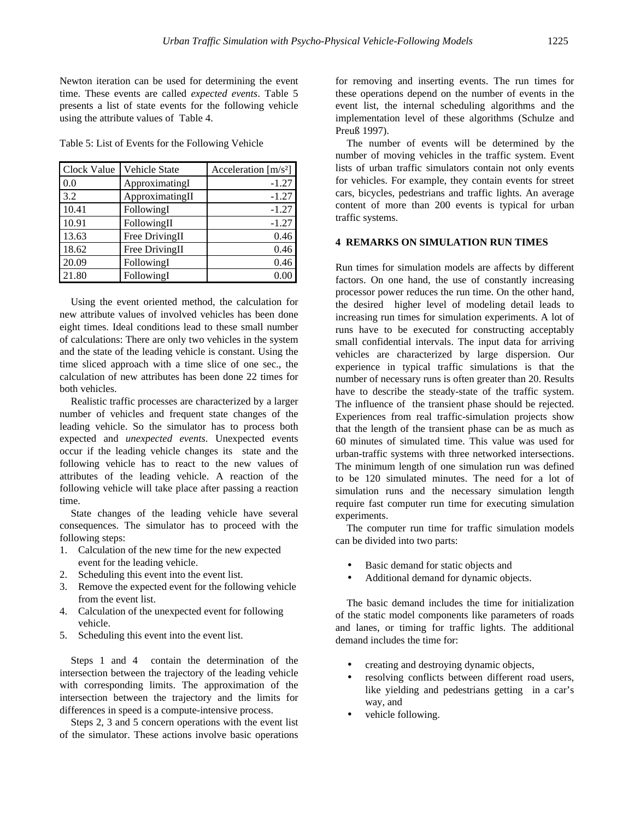Newton iteration can be used for determining the event time. These events are called *expected events*. Table 5 presents a list of state events for the following vehicle using the attribute values of Table 4.

| Clock Value | Vehicle State   | Acceleration $[m/s^2]$ |
|-------------|-----------------|------------------------|
| 0.0         | ApproximatingI  | $-1.27$                |
| 3.2         | ApproximatingII | $-1.27$                |
| 10.41       | FollowingI      | $-1.27$                |
| 10.91       | FollowingII     | $-1.27$                |
| 13.63       | Free DrivingII  | 0.46                   |
| 18.62       | Free DrivingII  | 0.46                   |
| 20.09       | FollowingI      | 0.46                   |
| 21.80       | FollowingI      | 0.00                   |

Using the event oriented method, the calculation for new attribute values of involved vehicles has been done eight times. Ideal conditions lead to these small number of calculations: There are only two vehicles in the system and the state of the leading vehicle is constant. Using the time sliced approach with a time slice of one sec., the calculation of new attributes has been done 22 times for both vehicles.

Realistic traffic processes are characterized by a larger number of vehicles and frequent state changes of the leading vehicle. So the simulator has to process both expected and *unexpected events*. Unexpected events occur if the leading vehicle changes its state and the following vehicle has to react to the new values of attributes of the leading vehicle. A reaction of the following vehicle will take place after passing a reaction time.

State changes of the leading vehicle have several consequences. The simulator has to proceed with the following steps:

- 1. Calculation of the new time for the new expected event for the leading vehicle.
- 2. Scheduling this event into the event list.
- 3. Remove the expected event for the following vehicle from the event list.
- 4. Calculation of the unexpected event for following vehicle.
- 5. Scheduling this event into the event list.

Steps 1 and 4 contain the determination of the intersection between the trajectory of the leading vehicle with corresponding limits. The approximation of the intersection between the trajectory and the limits for differences in speed is a compute-intensive process.

Steps 2, 3 and 5 concern operations with the event list of the simulator. These actions involve basic operations for removing and inserting events. The run times for these operations depend on the number of events in the event list, the internal scheduling algorithms and the implementation level of these algorithms (Schulze and Preuß 1997).

The number of events will be determined by the number of moving vehicles in the traffic system. Event lists of urban traffic simulators contain not only events for vehicles. For example, they contain events for street cars, bicycles, pedestrians and traffic lights. An average content of more than 200 events is typical for urban traffic systems.

### **4 REMARKS ON SIMULATION RUN TIMES**

Run times for simulation models are affects by different factors. On one hand, the use of constantly increasing processor power reduces the run time. On the other hand, the desired higher level of modeling detail leads to increasing run times for simulation experiments. A lot of runs have to be executed for constructing acceptably small confidential intervals. The input data for arriving vehicles are characterized by large dispersion. Our experience in typical traffic simulations is that the number of necessary runs is often greater than 20. Results have to describe the steady-state of the traffic system. The influence of the transient phase should be rejected. Experiences from real traffic-simulation projects show that the length of the transient phase can be as much as 60 minutes of simulated time. This value was used for urban-traffic systems with three networked intersections. The minimum length of one simulation run was defined to be 120 simulated minutes. The need for a lot of simulation runs and the necessary simulation length require fast computer run time for executing simulation experiments.

The computer run time for traffic simulation models can be divided into two parts:

- Basic demand for static objects and
- Additional demand for dynamic objects.

The basic demand includes the time for initialization of the static model components like parameters of roads and lanes, or timing for traffic lights. The additional demand includes the time for:

- creating and destroying dynamic objects,
- resolving conflicts between different road users, like yielding and pedestrians getting in a car's way, and
- vehicle following.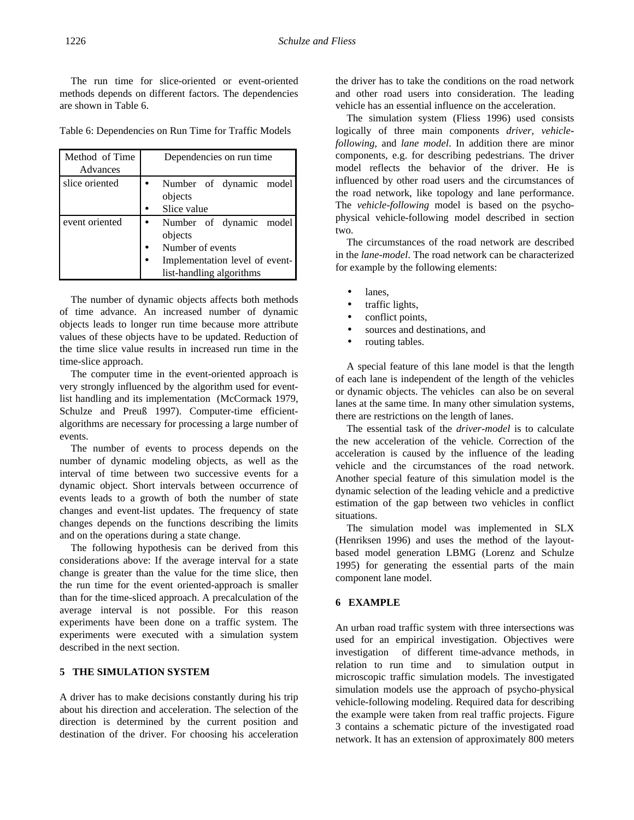The run time for slice-oriented or event-oriented methods depends on different factors. The dependencies are shown in Table 6.

Table 6: Dependencies on Run Time for Traffic Models

| Method of Time<br>Advances |           | Dependencies on run time                                                                                             |  |  |
|----------------------------|-----------|----------------------------------------------------------------------------------------------------------------------|--|--|
| slice oriented             |           | Number of dynamic model<br>objects<br>Slice value                                                                    |  |  |
| event oriented             | $\bullet$ | Number of dynamic model<br>objects<br>Number of events<br>Implementation level of event-<br>list-handling algorithms |  |  |

The number of dynamic objects affects both methods of time advance. An increased number of dynamic objects leads to longer run time because more attribute values of these objects have to be updated. Reduction of the time slice value results in increased run time in the time-slice approach.

The computer time in the event-oriented approach is very strongly influenced by the algorithm used for eventlist handling and its implementation (McCormack 1979, Schulze and Preuß 1997). Computer-time efficientalgorithms are necessary for processing a large number of events.

The number of events to process depends on the number of dynamic modeling objects, as well as the interval of time between two successive events for a dynamic object. Short intervals between occurrence of events leads to a growth of both the number of state changes and event-list updates. The frequency of state changes depends on the functions describing the limits and on the operations during a state change.

The following hypothesis can be derived from this considerations above: If the average interval for a state change is greater than the value for the time slice, then the run time for the event oriented-approach is smaller than for the time-sliced approach. A precalculation of the average interval is not possible. For this reason experiments have been done on a traffic system. The experiments were executed with a simulation system described in the next section.

# **5 THE SIMULATION SYSTEM**

A driver has to make decisions constantly during his trip about his direction and acceleration. The selection of the direction is determined by the current position and destination of the driver. For choosing his acceleration the driver has to take the conditions on the road network and other road users into consideration. The leading vehicle has an essential influence on the acceleration.

The simulation system (Fliess 1996) used consists logically of three main components *driver, vehicle**following,* and *lane model*. In addition there are minor components, e.g. for describing pedestrians. The driver model reflects the behavior of the driver. He is influenced by other road users and the circumstances of the road network, like topology and lane performance. The *vehicle-following* model is based on the psychophysical vehicle-following model described in section two.

The circumstances of the road network are described in the *lane-model*. The road network can be characterized for example by the following elements:

- lanes.
- traffic lights,
- conflict points,
- sources and destinations, and
- routing tables.

A special feature of this lane model is that the length of each lane is independent of the length of the vehicles or dynamic objects. The vehicles can also be on several lanes at the same time. In many other simulation systems, there are restrictions on the length of lanes.

The essential task of the *driver-model* is to calculate the new acceleration of the vehicle. Correction of the acceleration is caused by the influence of the leading vehicle and the circumstances of the road network. Another special feature of this simulation model is the dynamic selection of the leading vehicle and a predictive estimation of the gap between two vehicles in conflict situations.

The simulation model was implemented in SLX (Henriksen 1996) and uses the method of the layoutbased model generation LBMG (Lorenz and Schulze 1995) for generating the essential parts of the main component lane model.

### **6 EXAMPLE**

An urban road traffic system with three intersections was used for an empirical investigation. Objectives were investigation of different time-advance methods, in relation to run time and to simulation output in microscopic traffic simulation models. The investigated simulation models use the approach of psycho-physical vehicle-following modeling. Required data for describing the example were taken from real traffic projects. Figure 3 contains a schematic picture of the investigated road network. It has an extension of approximately 800 meters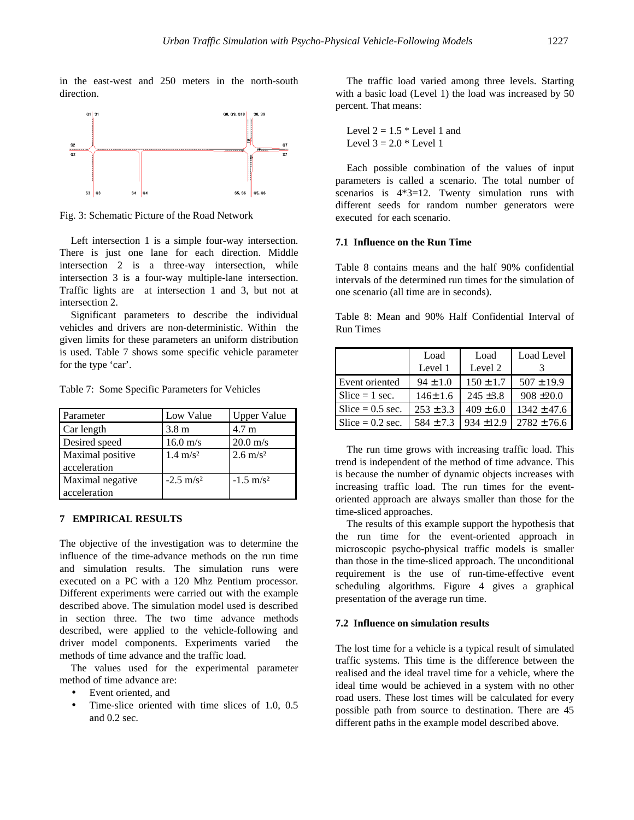in the east-west and 250 meters in the north-south direction.



Fig. 3: Schematic Picture of the Road Network

Left intersection 1 is a simple four-way intersection. There is just one lane for each direction. Middle intersection 2 is a three-way intersection, while intersection 3 is a four-way multiple-lane intersection. Traffic lights are at intersection 1 and 3, but not at intersection 2.

Significant parameters to describe the individual vehicles and drivers are non-deterministic. Within the given limits for these parameters an uniform distribution is used. Table 7 shows some specific vehicle parameter for the type 'car'.

Table 7: Some Specific Parameters for Vehicles

| Parameter        | Low Value            | <b>Upper Value</b>   |
|------------------|----------------------|----------------------|
| Car length       | 3.8 <sub>m</sub>     | $4.7 \text{ m}$      |
| Desired speed    | $16.0 \text{ m/s}$   | $20.0 \text{ m/s}$   |
| Maximal positive | $1.4 \text{ m/s}^2$  | $2.6 \text{ m/s}^2$  |
| acceleration     |                      |                      |
| Maximal negative | $-2.5 \text{ m/s}^2$ | $-1.5 \text{ m/s}^2$ |
| acceleration     |                      |                      |

#### **7 EMPIRICAL RESULTS**

The objective of the investigation was to determine the influence of the time-advance methods on the run time and simulation results. The simulation runs were executed on a PC with a 120 Mhz Pentium processor. Different experiments were carried out with the example described above. The simulation model used is described in section three. The two time advance methods described, were applied to the vehicle-following and driver model components. Experiments varied the methods of time advance and the traffic load.

The values used for the experimental parameter method of time advance are:

- Event oriented, and
- Time-slice oriented with time slices of 1.0, 0.5 and 0.2 sec.

The traffic load varied among three levels. Starting with a basic load (Level 1) the load was increased by 50 percent. That means:

```
Level 2 = 1.5 * Level 1 and
Level 3 = 2.0 * Level 1
```
Each possible combination of the values of input parameters is called a scenario. The total number of scenarios is 4\*3=12. Twenty simulation runs with different seeds for random number generators were executed for each scenario.

## **7.1 Influence on the Run Time**

Table 8 contains means and the half 90% confidential intervals of the determined run times for the simulation of one scenario (all time are in seconds).

Table 8: Mean and 90% Half Confidential Interval of Run Times

|                    | Load          | Load          | Load Level      |
|--------------------|---------------|---------------|-----------------|
|                    | Level 1       | Level 2       |                 |
| Event oriented     | $94 \pm 1.0$  | $150 \pm 1.7$ | $507 \pm 19.9$  |
| Slice $= 1$ sec.   | $146 \pm 1.6$ | $245 \pm 3.8$ | $908 \pm 20.0$  |
| Slice $= 0.5$ sec. | $253 \pm 3.3$ | $409 \pm 6.0$ | $1342 \pm 47.6$ |
| $Slice = 0.2 sec.$ | $584 + 7.3$   | $934 + 12.9$  | $2782 \pm 76.6$ |

The run time grows with increasing traffic load. This trend is independent of the method of time advance. This is because the number of dynamic objects increases with increasing traffic load. The run times for the eventoriented approach are always smaller than those for the time-sliced approaches.

The results of this example support the hypothesis that the run time for the event-oriented approach in microscopic psycho-physical traffic models is smaller than those in the time-sliced approach. The unconditional requirement is the use of run-time-effective event scheduling algorithms. Figure 4 gives a graphical presentation of the average run time.

#### **7.2 Influence on simulation results**

The lost time for a vehicle is a typical result of simulated traffic systems. This time is the difference between the realised and the ideal travel time for a vehicle, where the ideal time would be achieved in a system with no other road users. These lost times will be calculated for every possible path from source to destination. There are 45 different paths in the example model described above.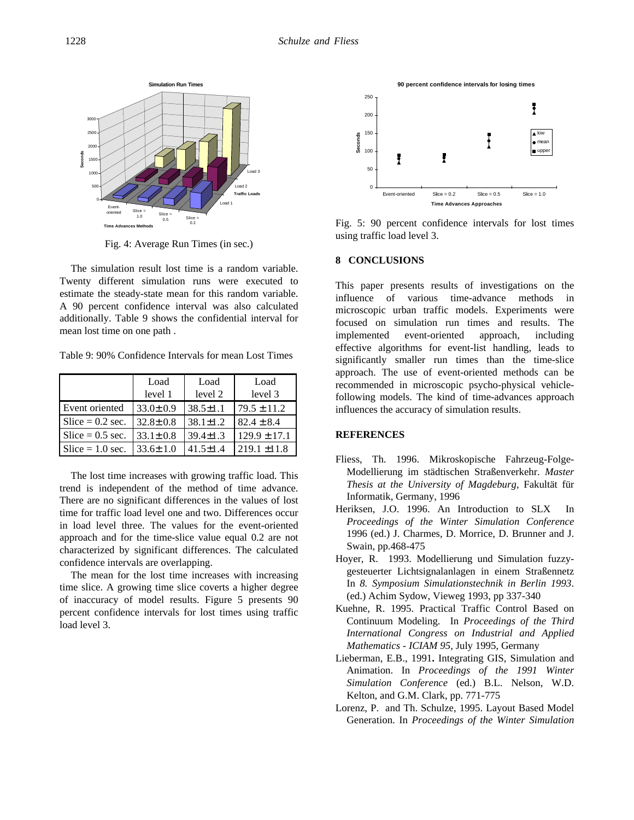

Fig. 4: Average Run Times (in sec.)

The simulation result lost time is a random variable. Twenty different simulation runs were executed to estimate the steady-state mean for this random variable. A 90 percent confidence interval was also calculated additionally. Table 9 shows the confidential interval for mean lost time on one path .

Table 9: 90% Confidence Intervals for mean Lost Times

|                    | Load<br>level 1 | Load<br>level 2 | Load<br>level 3  |
|--------------------|-----------------|-----------------|------------------|
| Event oriented     | $33.0 \pm 0.9$  | $38.5 \pm 1.1$  | $79.5 \pm 11.2$  |
| Slice $= 0.2$ sec. | $32.8 \pm 0.8$  | $38.1 \pm 1.2$  | $82.4 \pm 8.4$   |
| $Slice = 0.5 sec.$ | $33.1 \pm 0.8$  | $39.4 \pm 1.3$  | $129.9 \pm 17.1$ |
| $Slice = 1.0 sec.$ | $33.6 \pm 1.0$  | $41.5 \pm 1.4$  | $219.1 \pm 11.8$ |

The lost time increases with growing traffic load. This trend is independent of the method of time advance. There are no significant differences in the values of lost time for traffic load level one and two. Differences occur in load level three. The values for the event-oriented approach and for the time-slice value equal 0.2 are not characterized by significant differences. The calculated confidence intervals are overlapping.

The mean for the lost time increases with increasing time slice. A growing time slice coverts a higher degree of inaccuracy of model results. Figure 5 presents 90 percent confidence intervals for lost times using traffic load level 3.



Fig. 5: 90 percent confidence intervals for lost times using traffic load level 3.

#### **8 CONCLUSIONS**

This paper presents results of investigations on the influence of various time-advance methods in microscopic urban traffic models. Experiments were focused on simulation run times and results. The implemented event-oriented approach, including effective algorithms for event-list handling, leads to significantly smaller run times than the time-slice approach. The use of event-oriented methods can be recommended in microscopic psycho-physical vehiclefollowing models. The kind of time-advances approach influences the accuracy of simulation results.

## **REFERENCES**

- Fliess, Th. 1996. Mikroskopische Fahrzeug-Folge-Modellierung im städtischen Straßenverkehr. *Master Thesis at the University of Magdeburg*, Fakultät für Informatik, Germany, 1996
- Heriksen, J.O. 1996. An Introduction to SLX In *Proceedings of the Winter Simulation Conference* 1996 (ed.) J. Charmes, D. Morrice, D. Brunner and J. Swain, pp.468-475
- Hoyer, R. 1993. Modellierung und Simulation fuzzygesteuerter Lichtsignalanlagen in einem Straßennetz In *8. Symposium Simulationstechnik in Berlin 1993*. (ed.) Achim Sydow, Vieweg 1993, pp 337-340
- Kuehne, R. 1995. Practical Traffic Control Based on Continuum Modeling. In *Proceedings of the Third International Congress on Industrial and Applied Mathematics - ICIAM 95*, July 1995, Germany
- Lieberman, E.B., 1991**.** Integrating GIS, Simulation and Animation. In *Proceedings of the 1991 Winter Simulation Conference* (ed.) B.L. Nelson, W.D. Kelton, and G.M. Clark, pp. 771-775
- Lorenz, P. and Th. Schulze, 1995. Layout Based Model Generation. In *Proceedings of the Winter Simulation*